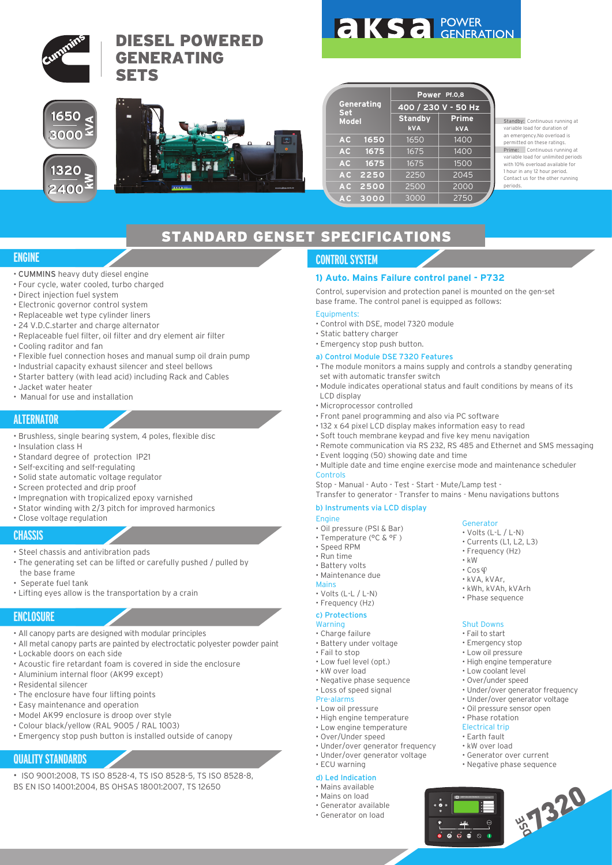

Standby: Continuous running at variable load for duration of an emergency.No overload is permitted on these ratings. Prime: Continuous running at variable load for unlimited periods with 10% overload available for 1 hour in any 12 hour period. Contact us for the other running

## STANDARD GENSET SPECIFICATIONS

## **ENGINE**

- CUMMINS heavy duty diesel engine
- Four cycle, water cooled, turbo charged
- Direct injection fuel system
- Electronic governor control system
- Replaceable wet type cylinder liners
- 24 V.D.C.starter and charge alternator
- Replaceable fuel filter, oil filter and dry element air filter
- Cooling raditor and fan
- Flexible fuel connection hoses and manual sump oil drain pump
- Industrial capacity exhaust silencer and steel bellows
- Starter battery (with lead acid) including Rack and Cables
- Jacket water heater
- Manual for use and installation

## **ALTERNATOR**

- Brushless, single bearing system, 4 poles, flexible disc
- Insulation class H
- Standard degree of protection IP21
- Self-exciting and self-regulating
- Solid state automatic voltage regulator
- Screen protected and drip proof
- Impregnation with tropicalized epoxy varnished
- Stator winding with 2/3 pitch for improved harmonics
- Close voltage regulation

## **CHASSIS**

- Steel chassis and antivibration pads
- The generating set can be lifted or carefully pushed / pulled by the base frame
- Seperate fuel tank
- Lifting eyes allow is the transportation by a crain

### **ENCLOSURE**

- All canopy parts are designed with modular principles
- All metal canopy parts are painted by electroctatic polyester powder paint • Lockable doors on each side
- 
- Acoustic fire retardant foam is covered in side the enclosure
- Aluminium internal floor (AK99 except)
- Residental silencer
- The enclosure have four lifting points
- Easy maintenance and operation
- Model AK99 enclosure is droop over style
- Colour black/yellow (RAL 9005 / RAL 1003)
- Emergency stop push button is installed outside of canopy

## **QUALITY STANDARDS**

- ISO 9001:2008, TS ISO 8528-4, TS ISO 8528-5, TS ISO 8528-8,
- BS EN ISO 14001:2004, BS OHSAS 18001:2007, TS 12650

## **CONTROL SYSTEM**

#### **1) Auto. Mains Failure control panel - P732**

Control, supervision and protection panel is mounted on the gen-set base frame. The control panel is equipped as follows:

#### Equipments:

- Control with DSE, model 7320 module
- Static battery charger
- Emergency stop push button.
- a) Control Module DSE 7320 Features
- The module monitors a mains supply and controls a standby generating set with automatic transfer switch
- Module indicates operational status and fault conditions by means of its LCD display
- Microprocessor controlled
- Front panel programming and also via PC software
- 132 x 64 pixel LCD display makes information easy to read
- Soft touch membrane keypad and five key menu navigation
- Remote communication via RS 232, RS 485 and Ethernet and SMS messaging
- Event logging (50) showing date and time
- Multiple date and time engine exercise mode and maintenance scheduler Controls

Stop - Manual - Auto - Test - Start - Mute/Lamp test -

Transfer to generator - Transfer to mains - Menu navigations buttons

#### b) Instruments via LCD display

- Engine
- Oil pressure (PSI & Bar)
- Temperature (°C & °F )
- Speed RPM
- Run time
- Battery volts • Maintenance due

#### Mains

- Volts (L-L / L-N)
- Frequency (Hz)
- c) Protections

#### **Warning**

- Charge failure
- Battery under voltage
- Fail to stop
- Low fuel level (opt.)
- kW over load
- Negative phase sequence • Loss of speed signal
- Pre-alarms
- Low oil pressure
- High engine temperature
- Low engine temperature
- Over/Under speed
- Under/over generator frequency
- Under/over generator voltage
- ECU warning

#### d) Led Indication

- Mains available
- Mains on load • Generator available
- 
- Generator on load



Shut Downs • Fail to start • Emergency stop • Low oil pressure • High engine temperature • Low coolant level • Over/under speed

 $\overline{a}$  $\overline{a}$  $\overline{a}$ 

DEEP SEA ELECTRONICS DEEP

• kVA, kVAr, • kWh, kVAh, kVArh • Phase sequence

• Under/over generator frequency • Under/over generator voltage • Oil pressure sensor open • Phase rotation Electrical trip • Earth fault • kW over load • Generator over current • Negative phase sequence

• Frequency (Hz)

Generator

• kW  $\cdot$  Cos $\circ$